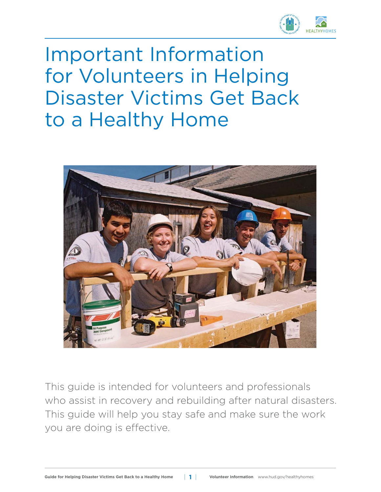

## Important Information for Volunteers in Helping Disaster Victims Get Back to a Healthy Home



This guide is intended for volunteers and professionals who assist in recovery and rebuilding after natural disasters. This guide will help you stay safe and make sure the work you are doing is effective.